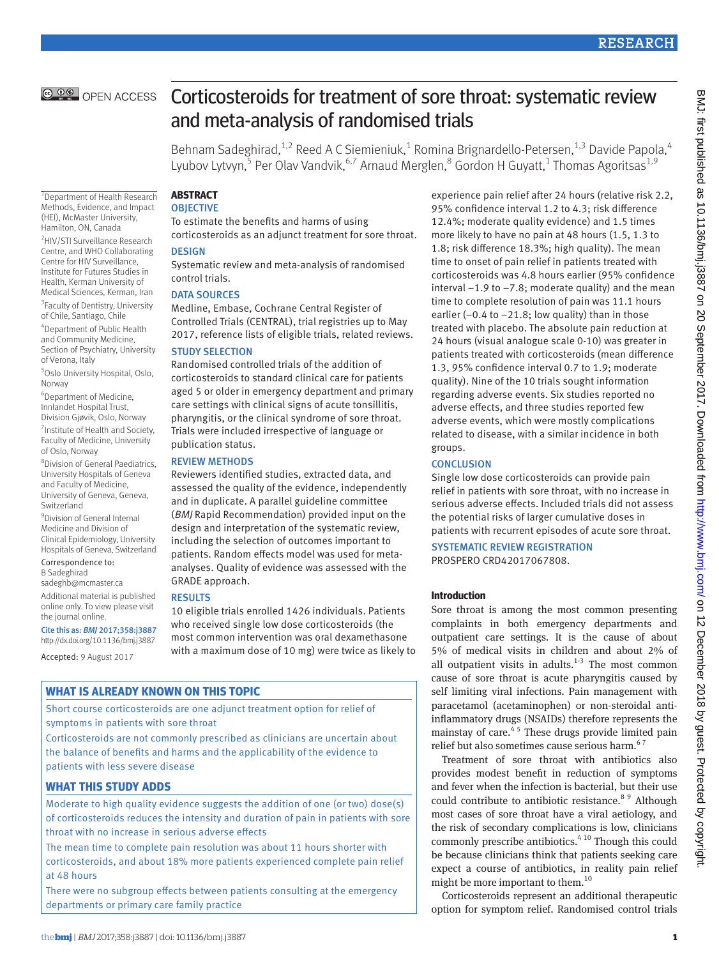# **@ 00** OPEN ACCESS

1 Department of Health Research Methods, Evidence, and Impact (HEI), McMaster University, Hamilton, ON, Canada 2 HIV/STI Surveillance Research Centre, and WHO Collaborating Centre for HIV Surveillance, Institute for Futures Studies in Health, Kerman University of Medical Sciences, Kerman, Iran <sup>3</sup> Faculty of Dentistry, University of Chile, Santiago, Chile 4 Department of Public Health and Community Medicine, Section of Psychiatry, University

of Verona, Italy

of Oslo, Norway

**Switzerland** 

the journal online.

Cite this as: *BMJ* 2017;358:j3887 http://dx.doi.org/10.1136/bmj.j3887 Accepted: 9 August 2017

Norway

5 Oslo University Hospital, Oslo,

8 Division of General Paediatrics, University Hospitals of Geneva and Faculty of Medicine, University of Geneva, Geneva,

9 Division of General Internal Medicine and Division of Clinical Epidemiology, University Hospitals of Geneva, Switzerland Correspondence to: B Sadeghirad sadeghb@mcmaster.ca Additional material is published online only. To view please visit

6 Department of Medicine, Innlandet Hospital Trust, Division Gjøvik, Oslo, Norway <sup>7</sup> Institute of Health and Society, Faculty of Medicine, University

Corticosteroids for treatment of sore throat: systematic review and meta-analysis of randomised trials

Behnam Sadeghirad,<sup>1,2</sup> Reed A C Siemieniuk,<sup>1</sup> Romina Brignardello-Petersen,<sup>1,3</sup> Davide Papola,<sup>4</sup> Lyubov Lytvyn,<sup>5</sup> Per Olav Vandvik,<sup>6,7</sup> Arnaud Merglen,<sup>8</sup> Gordon H Guyatt,<sup>1</sup> Thomas Agoritsas<sup>1,9</sup>

# **ABSTRACT**

## **OBJECTIVE**

To estimate the benefits and harms of using corticosteroids as an adjunct treatment for sore throat.

# **DESIGN**

Systematic review and meta-analysis of randomised control trials.

#### DATA SOURCES

Medline, Embase, Cochrane Central Register of Controlled Trials (CENTRAL), trial registries up to May 2017, reference lists of eligible trials, related reviews.

#### STUDY SELECTION

Randomised controlled trials of the addition of corticosteroids to standard clinical care for patients aged 5 or older in emergency department and primary care settings with clinical signs of acute tonsillitis, pharyngitis, or the clinical syndrome of sore throat. Trials were included irrespective of language or publication status.

## REVIEW METHODS

Reviewers identified studies, extracted data, and assessed the quality of the evidence, independently and in duplicate. A parallel guideline committee (BMJ Rapid Recommendation) provided input on the design and interpretation of the systematic review, including the selection of outcomes important to patients. Random effects model was used for metaanalyses. Quality of evidence was assessed with the GRADE approach.

# RESULTS

10 eligible trials enrolled 1426 individuals. Patients who received single low dose corticosteroids (the most common intervention was oral dexamethasone with a maximum dose of 10 mg) were twice as likely to

# **What is already known on this topic**

Short course corticosteroids are one adjunct treatment option for relief of symptoms in patients with sore throat

Corticosteroids are not commonly prescribed as clinicians are uncertain about the balance of benefits and harms and the applicability of the evidence to patients with less severe disease

# **What this study adds**

Moderate to high quality evidence suggests the addition of one (or two) dose(s) of corticosteroids reduces the intensity and duration of pain in patients with sore throat with no increase in serious adverse effects

The mean time to complete pain resolution was about 11 hours shorter with corticosteroids, and about 18% more patients experienced complete pain relief at 48 hours

There were no subgroup effects between patients consulting at the emergency departments or primary care family practice

experience pain relief after 24 hours (relative risk 2.2, 95% confidence interval 1.2 to 4.3; risk difference 12.4%; moderate quality evidence) and 1.5 times more likely to have no pain at 48 hours (1.5, 1.3 to 1.8; risk difference 18.3%; high quality). The mean time to onset of pain relief in patients treated with corticosteroids was 4.8 hours earlier (95% confidence interval −1.9 to −7.8; moderate quality) and the mean time to complete resolution of pain was 11.1 hours earlier (−0.4 to −21.8; low quality) than in those treated with placebo. The absolute pain reduction at 24 hours (visual analogue scale 0-10) was greater in patients treated with corticosteroids (mean difference 1.3, 95% confidence interval 0.7 to 1.9; moderate quality). Nine of the 10 trials sought information regarding adverse events. Six studies reported no adverse effects, and three studies reported few adverse events, which were mostly complications related to disease, with a similar incidence in both groups.

## **CONCLUSION**

Single low dose corticosteroids can provide pain relief in patients with sore throat, with no increase in serious adverse effects. Included trials did not assess the potential risks of larger cumulative doses in patients with recurrent episodes of acute sore throat.

#### SYSTEMATIC REVIEW REGISTRATION

PROSPERO CRD42017067808.

#### **Introduction**

Sore throat is among the most common presenting complaints in both emergency departments and outpatient care settings. It is the cause of about 5% of medical visits in children and about 2% of all outpatient visits in adults. $1-3$  The most common cause of sore throat is acute pharyngitis caused by self limiting viral infections. Pain management with paracetamol (acetaminophen) or non-steroidal antiinflammatory drugs (NSAIDs) therefore represents the mainstay of care.<sup>45</sup> These drugs provide limited pain relief but also sometimes cause serious harm.<sup>67</sup>

Treatment of sore throat with antibiotics also provides modest benefit in reduction of symptoms and fever when the infection is bacterial, but their use could contribute to antibiotic resistance.<sup>8 9</sup> Although most cases of sore throat have a viral aetiology, and the risk of secondary complications is low, clinicians commonly prescribe antibiotics.<sup>4 10</sup> Though this could be because clinicians think that patients seeking care expect a course of antibiotics, in reality pain relief might be more important to them.<sup>10</sup>

Corticosteroids represent an additional therapeutic option for symptom relief. Randomised control trials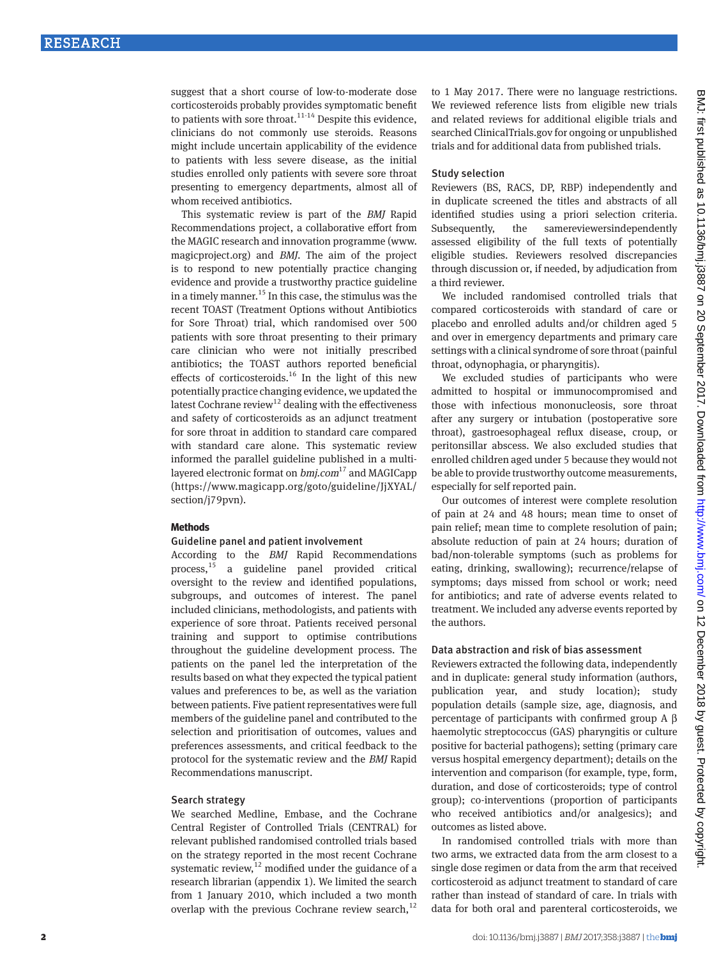suggest that a short course of low-to-moderate dose corticosteroids probably provides symptomatic benefit to patients with sore throat. $11-14}$  Despite this evidence, clinicians do not commonly use steroids. Reasons might include uncertain applicability of the evidence to patients with less severe disease, as the initial studies enrolled only patients with severe sore throat presenting to emergency departments, almost all of whom received antibiotics.

This systematic review is part of the BMJ Rapid Recommendations project, a collaborative effort from the MAGIC research and innovation programme (www. magicproject.org) and BMJ. The aim of the project is to respond to new potentially practice changing evidence and provide a trustworthy practice guideline in a timely manner.<sup>15</sup> In this case, the stimulus was the recent TOAST (Treatment Options without Antibiotics for Sore Throat) trial, which randomised over 500 patients with sore throat presenting to their primary care clinician who were not initially prescribed antibiotics; the TOAST authors reported beneficial effects of corticosteroids.<sup>16</sup> In the light of this new potentially practice changing evidence, we updated the latest Cochrane review<sup>12</sup> dealing with the effectiveness and safety of corticosteroids as an adjunct treatment for sore throat in addition to standard care compared with standard care alone. This systematic review informed the parallel guideline published in a multilayered electronic format on  $bmi$ .com<sup>17</sup> and MAGICapp (https://www.magicapp.org/goto/guideline/JjXYAL/ section/j79pvn).

### **Methods**

## Guideline panel and patient involvement

According to the BMJ Rapid Recommendations process,15 a guideline panel provided critical oversight to the review and identified populations, subgroups, and outcomes of interest. The panel included clinicians, methodologists, and patients with experience of sore throat. Patients received personal training and support to optimise contributions throughout the guideline development process. The patients on the panel led the interpretation of the results based on what they expected the typical patient values and preferences to be, as well as the variation between patients. Five patient representatives were full members of the guideline panel and contributed to the selection and prioritisation of outcomes, values and preferences assessments, and critical feedback to the protocol for the systematic review and the BMJ Rapid Recommendations manuscript.

#### Search strategy

We searched Medline, Embase, and the Cochrane Central Register of Controlled Trials (CENTRAL) for relevant published randomised controlled trials based on the strategy reported in the most recent Cochrane systematic review, $^{12}$  modified under the guidance of a research librarian (appendix 1). We limited the search from 1 January 2010, which included a two month overlap with the previous Cochrane review search, $12$ 

to 1 May 2017. There were no language restrictions. We reviewed reference lists from eligible new trials and related reviews for additional eligible trials and searched ClinicalTrials.gov for ongoing or unpublished trials and for additional data from published trials.

#### Study selection

Reviewers (BS, RACS, DP, RBP) independently and in duplicate screened the titles and abstracts of all identified studies using a priori selection criteria. Subsequently, the samereviewersindependently assessed eligibility of the full texts of potentially eligible studies. Reviewers resolved discrepancies through discussion or, if needed, by adjudication from a third reviewer.

We included randomised controlled trials that compared corticosteroids with standard of care or placebo and enrolled adults and/or children aged 5 and over in emergency departments and primary care settings with a clinical syndrome of sore throat (painful throat, odynophagia, or pharyngitis).

We excluded studies of participants who were admitted to hospital or immunocompromised and those with infectious mononucleosis, sore throat after any surgery or intubation (postoperative sore throat), gastroesophageal reflux disease, croup, or peritonsillar abscess. We also excluded studies that enrolled children aged under 5 because they would not be able to provide trustworthy outcome measurements, especially for self reported pain.

Our outcomes of interest were complete resolution of pain at 24 and 48 hours; mean time to onset of pain relief; mean time to complete resolution of pain; absolute reduction of pain at 24 hours; duration of bad/non-tolerable symptoms (such as problems for eating, drinking, swallowing); recurrence/relapse of symptoms; days missed from school or work; need for antibiotics; and rate of adverse events related to treatment. We included any adverse events reported by the authors.

#### Data abstraction and risk of bias assessment

Reviewers extracted the following data, independently and in duplicate: general study information (authors, publication year, and study location); study population details (sample size, age, diagnosis, and percentage of participants with confirmed group A β haemolytic streptococcus (GAS) pharyngitis or culture positive for bacterial pathogens); setting (primary care versus hospital emergency department); details on the intervention and comparison (for example, type, form, duration, and dose of corticosteroids; type of control group); co-interventions (proportion of participants who received antibiotics and/or analgesics); and outcomes as listed above.

In randomised controlled trials with more than two arms, we extracted data from the arm closest to a single dose regimen or data from the arm that received corticosteroid as adjunct treatment to standard of care rather than instead of standard of care. In trials with data for both oral and parenteral corticosteroids, we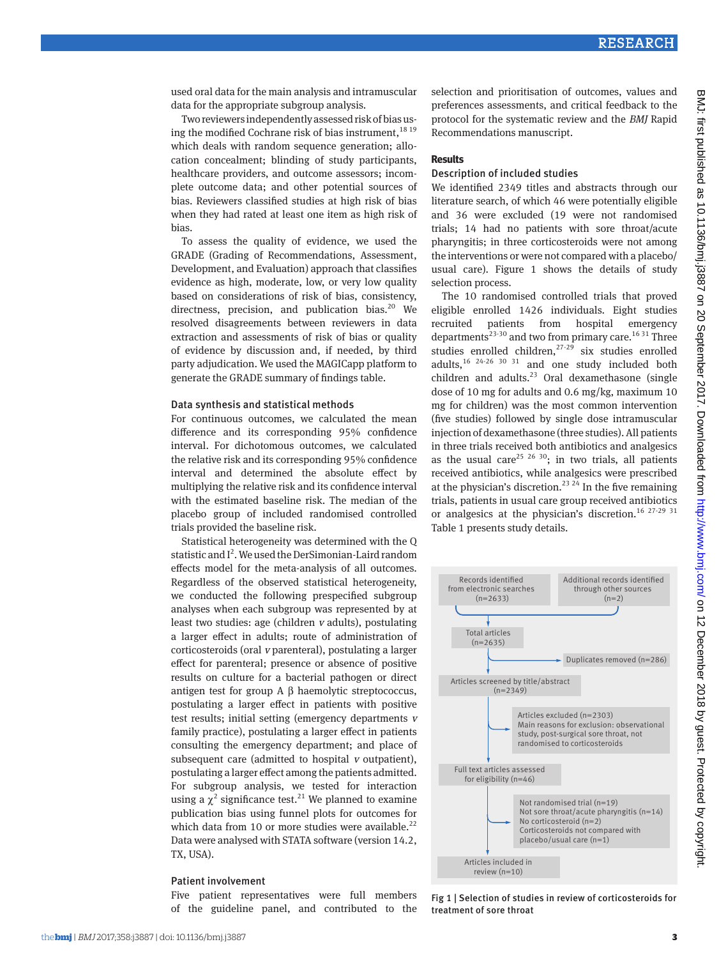used oral data for the main analysis and intramuscular data for the appropriate subgroup analysis.

Two reviewers independently assessed risk of bias using the modified Cochrane risk of bias instrument,  $^{18}$   $^{19}$ which deals with random sequence generation; allocation concealment; blinding of study participants, healthcare providers, and outcome assessors; incomplete outcome data; and other potential sources of bias. Reviewers classified studies at high risk of bias when they had rated at least one item as high risk of bias.

To assess the quality of evidence, we used the GRADE (Grading of Recommendations, Assessment, Development, and Evaluation) approach that classifies evidence as high, moderate, low, or very low quality based on considerations of risk of bias, consistency, directness, precision, and publication bias. $20$  We resolved disagreements between reviewers in data extraction and assessments of risk of bias or quality of evidence by discussion and, if needed, by third party adjudication. We used the MAGICapp platform to generate the GRADE summary of findings table.

#### Data synthesis and statistical methods

For continuous outcomes, we calculated the mean difference and its corresponding 95% confidence interval. For dichotomous outcomes, we calculated the relative risk and its corresponding 95% confidence interval and determined the absolute effect by multiplying the relative risk and its confidence interval with the estimated baseline risk. The median of the placebo group of included randomised controlled trials provided the baseline risk.

Statistical heterogeneity was determined with the Q statistic and I<sup>2</sup>. We used the DerSimonian-Laird random effects model for the meta-analysis of all outcomes. Regardless of the observed statistical heterogeneity, we conducted the following prespecified subgroup analyses when each subgroup was represented by at least two studies: age (children v adults), postulating a larger effect in adults; route of administration of corticosteroids (oral v parenteral), postulating a larger effect for parenteral; presence or absence of positive results on culture for a bacterial pathogen or direct antigen test for group A β haemolytic streptococcus, postulating a larger effect in patients with positive test results; initial setting (emergency departments <sup>v</sup> family practice), postulating a larger effect in patients consulting the emergency department; and place of subsequent care (admitted to hospital *v* outpatient), postulating a larger effect among the patients admitted. For subgroup analysis, we tested for interaction using a  $\chi^2$  significance test.<sup>21</sup> We planned to examine publication bias using funnel plots for outcomes for which data from 10 or more studies were available.<sup>22</sup> Data were analysed with STATA software (version 14.2, TX, USA).

# Patient involvement

Five patient representatives were full members of the guideline panel, and contributed to the selection and prioritisation of outcomes, values and preferences assessments, and critical feedback to the protocol for the systematic review and the BMJ Rapid Recommendations manuscript.

# **Results**

## Description of included studies

We identified 2349 titles and abstracts through our literature search, of which 46 were potentially eligible and 36 were excluded (19 were not randomised trials; 14 had no patients with sore throat/acute pharyngitis; in three corticosteroids were not among the interventions or were not compared with a placebo/ usual care). Figure 1 shows the details of study selection process.

The 10 randomised controlled trials that proved eligible enrolled 1426 individuals. Eight studies recruited patients from hospital emergency departments<sup>23-30</sup> and two from primary care.<sup>16 31</sup> Three studies enrolled children,  $27-29$  six studies enrolled adults,16 24-26 30 31 and one study included both children and adults. $^{23}$  Oral dexamethasone (single dose of 10 mg for adults and 0.6 mg/kg, maximum 10 mg for children) was the most common intervention (five studies) followed by single dose intramuscular injection of dexamethasone (three studies). All patients in three trials received both antibiotics and analgesics as the usual care<sup>25 26 30</sup>; in two trials, all patients received antibiotics, while analgesics were prescribed at the physician's discretion.<sup>23, 24</sup> In the five remaining trials, patients in usual care group received antibiotics or analgesics at the physician's discretion.<sup>16 27-29 31</sup> Table 1 presents study details.

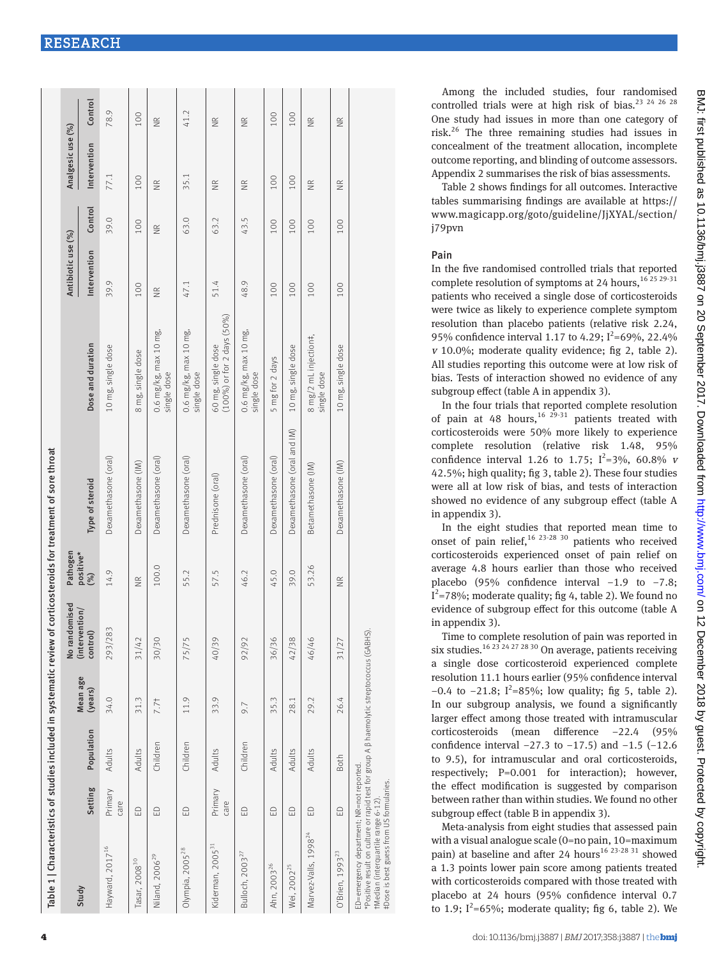|                                                                                                                                       |                 |             |                     |                            |                         | Table 1   Characteristics of studies included in systematic review of corticosteroids for treatment of sore throat |                                                      |                         |                         |                         |                         |
|---------------------------------------------------------------------------------------------------------------------------------------|-----------------|-------------|---------------------|----------------------------|-------------------------|--------------------------------------------------------------------------------------------------------------------|------------------------------------------------------|-------------------------|-------------------------|-------------------------|-------------------------|
|                                                                                                                                       |                 |             |                     | No randomised              | Pathogen                |                                                                                                                    |                                                      | Antibiotic use (%)      |                         | Analgesicuse (%)        |                         |
| Study                                                                                                                                 | Setting         | Population  | Mean age<br>(years) | (intervention/<br>control) | positive*<br>(%)        | Type of steroid                                                                                                    | Dose and duration                                    | Intervention            | Control                 | Intervention            | Control                 |
| Hayward, 2017 <sup>16</sup>                                                                                                           | Primary<br>care | Adults      | 34.0                | 293/283                    | 14.9                    | Dexamethasone (oral)                                                                                               | 10 mg, single dose                                   | 39.9                    | 39.0                    | 77.1                    | 78.9                    |
| Tasar, 2008 <sup>30</sup>                                                                                                             | $\Omega$        | Adults      | 31.3                | 31/42                      | $\frac{\alpha}{\alpha}$ | Dexamethasone (IM)                                                                                                 | 8 mg, single dose                                    | 100                     | 100                     | 100                     | 100                     |
| Niland, 2006 <sup>29</sup>                                                                                                            | $\Omega$        | Children    | 7.7 <sup>†</sup>    | 30/30                      | 100.0                   | Dexamethasone (oral)                                                                                               | 0.6 $mg/kg$ , max 10 mg,<br>single dose              | $\frac{\alpha}{\alpha}$ | $\frac{\alpha}{\alpha}$ | $\frac{\alpha}{\alpha}$ | $\frac{\alpha}{\alpha}$ |
| Olympia, 2005 <sup>28</sup>                                                                                                           | $\Omega$        | Children    | 11.9                | 75/75                      | 55.2                    | Dexamethasone (oral)                                                                                               | 0.6 $mg/kg$ , max 10 mg,<br>single dose              | 47.1                    | 63.0                    | 35.1                    | 41.2                    |
| Kiderman, 2005 <sup>31</sup>                                                                                                          | Primary<br>care | Adults      | 33.9                | 40/39                      | 57.5                    | Prednisone (oral)                                                                                                  | $(100%)$ or for 2 days $(50%)$<br>60 mg, single dose | 51.4                    | 63.2                    | $\frac{\alpha}{2}$      | $\frac{\alpha}{2}$      |
| Bulloch, 2003 <sup>27</sup>                                                                                                           | $\Omega$        | Children    | 9.7                 | 92/92                      | 46.2                    | Dexamethasone (oral)                                                                                               | 0.6 $mg/kg$ , max 10 mg,<br>single dose              | 48.9                    | 43.5                    | $\frac{\alpha}{\alpha}$ | $\frac{\alpha}{2}$      |
| Ahn, 2003 <sup>26</sup>                                                                                                               | $\Omega$        | Adults      | 35.3                | 36/36                      | 45.0                    | Dexamethasone (oral)                                                                                               | 5 mg for 2 days                                      | 100                     | 100                     | 100                     | 100                     |
| Wei, 2002 <sup>25</sup>                                                                                                               | $\Omega$        | Adults      | 28.1                | 42/38                      | 39.0                    | Dexamethasone (oral and IM)                                                                                        | 10 mg, single dose                                   | 100                     | 100                     | 100                     | 100                     |
| Marvez-Valls, 1998 <sup>24</sup>                                                                                                      | $\Xi$           | Adults      | 29.2                | 46/46                      | 53.26                   | Betamethasone (IM)                                                                                                 | 8 mg/2 mL injection#,<br>single dose                 | 100                     | 100                     | $\frac{\alpha}{2}$      | $\frac{\alpha}{2}$      |
| O'Brien, 1993 <sup>23</sup>                                                                                                           | $\Omega$        | <b>Both</b> | 26.4                | 31/27                      | $\frac{\alpha}{2}$      | Dexamethasone (IM)                                                                                                 | 10 mg, single dose                                   | 100                     | 100                     | $\frac{\alpha}{2}$      | $\frac{\alpha}{2}$      |
| *Positive result on culture or rapid test for group A ß haemolytic streptococcus (GABHS)<br>ED=emergency department; NR=not reported. |                 |             |                     |                            |                         |                                                                                                                    |                                                      |                         |                         |                         |                         |

Among the included studies, four randomised controlled trials were at high risk of bias.<sup>23 24 26 28</sup> One study had issues in more than one category of risk.26 The three remaining studies had issues in concealment of the treatment allocation, incomplete outcome reporting, and blinding of outcome assessors. Appendix 2 summarises the risk of bias assessments.

Table 2 shows findings for all outcomes. Interactive tables summarising findings are available at https:// www.magicapp.org/goto/guideline/JjXYAL/section/ j79pvn

# Pain

In the five randomised controlled trials that reported complete resolution of symptoms at 24 hours,  $16$ <sup>25 29-31</sup> patients who received a single dose of corticosteroids were twice as likely to experience complete symptom resolution than placebo patients (relative risk 2.24, 95% confidence interval 1.17 to 4.29;  $I^2$ =69%, 22.4% <sup>v</sup> 10.0%; moderate quality evidence; fig 2, table 2). All studies reporting this outcome were at low risk of bias. Tests of interaction showed no evidence of any subgroup effect (table A in appendix 3).

In the four trials that reported complete resolution of pain at 48 hours,<sup>16 29-31</sup> patients treated with corticosteroids were 50% more likely to experience complete resolution (relative risk 1.48, 95% confidence interval 1.26 to 1.75;  $I^2 = 3\%$ , 60.8% v 42.5%; high quality; fig 3, table 2). These four studies were all at low risk of bias, and tests of interaction showed no evidence of any subgroup effect (table A in appendix 3).

In the eight studies that reported mean time to onset of pain relief,  $16\frac{23.28}{30}$  patients who received corticosteroids experienced onset of pain relief on average 4.8 hours earlier than those who received placebo (95% confidence interval −1.9 to −7.8; I<sup>2</sup>=78%; moderate quality; fig 4, table 2). We found no evidence of subgroup effect for this outcome (table A in appendix 3).

Time to complete resolution of pain was reported in six studies.<sup>16 23 24 27 28 30</sup> On average, patients receiving a single dose corticosteroid experienced complete resolution 11.1 hours earlier (95% confidence interval  $-0.4$  to  $-21.8$ ; I<sup>2</sup>=85%; low quality; fig 5, table 2). In our subgroup analysis, we found a significantly larger effect among those treated with intramuscular corticosteroids (mean difference −22.4 (95% confidence interval −27.3 to −17.5) and −1.5 (−12.6 to 9.5), for intramuscular and oral corticosteroids, respectively; P=0.001 for interaction); however, the effect modification is suggested by comparison between rather than within studies. We found no other subgroup effect (table B in appendix 3).

Meta-analysis from eight studies that assessed pain with a visual analogue scale (0=no pain, 10=maximum pain) at baseline and after 24 hours<sup>16 23-28 31</sup> showed a 1.3 points lower pain score among patients treated with corticosteroids compared with those treated with placebo at 24 hours (95% confidence interval 0.7 to 1.9;  $I^2$ =65%; moderate quality; fig 6, table 2). We

†Median (interquartile range 6-12). ‡Dose is best guess from US formularies.

t Median (interquartile range 6-12).<br>#Dose is best guess from US formular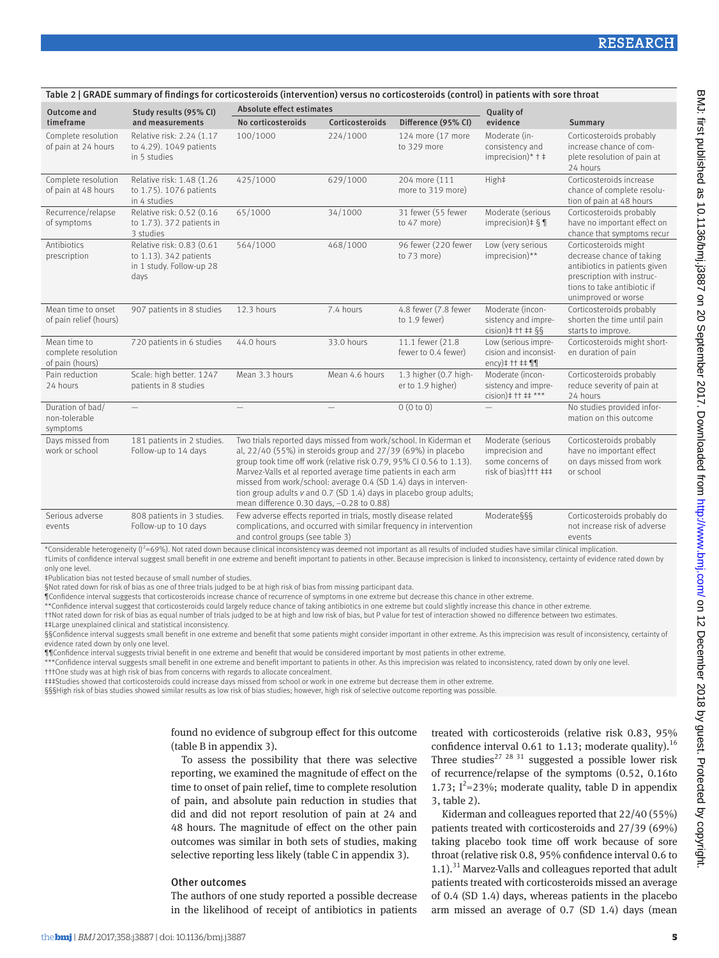|                                                        | Table 2   GRADE summary of findings for corticosteroids (intervention) versus no corticosteroids (control) in patients with sore throat |                                                                                                                                                                                                                                                                                                                                                                                          |                 |                                                                    |                                                                                                 |                                                                                                                                                                         |
|--------------------------------------------------------|-----------------------------------------------------------------------------------------------------------------------------------------|------------------------------------------------------------------------------------------------------------------------------------------------------------------------------------------------------------------------------------------------------------------------------------------------------------------------------------------------------------------------------------------|-----------------|--------------------------------------------------------------------|-------------------------------------------------------------------------------------------------|-------------------------------------------------------------------------------------------------------------------------------------------------------------------------|
| Outcome and                                            | Study results (95% CI)                                                                                                                  | Absolute effect estimates                                                                                                                                                                                                                                                                                                                                                                |                 |                                                                    | Quality of                                                                                      |                                                                                                                                                                         |
| timeframe                                              | and measurements                                                                                                                        | No corticosteroids                                                                                                                                                                                                                                                                                                                                                                       | Corticosteroids | Difference (95% CI)                                                | evidence                                                                                        | Summary                                                                                                                                                                 |
| Complete resolution<br>of pain at 24 hours             | Relative risk: 2.24 (1.17)<br>to 4.29). 1049 patients<br>in 5 studies                                                                   | 100/1000                                                                                                                                                                                                                                                                                                                                                                                 | 224/1000        | 124 more (17 more<br>to 329 more                                   | Moderate (in-<br>consistency and<br>imprecision)* $\uparrow \uparrow$                           | Corticosteroids probably<br>increase chance of com-<br>plete resolution of pain at<br>24 hours                                                                          |
| Complete resolution<br>of pain at 48 hours             | Relative risk: 1.48 (1.26<br>to 1.75). 1076 patients<br>in 4 studies                                                                    | 425/1000                                                                                                                                                                                                                                                                                                                                                                                 | 629/1000        | 204 more (111<br>more to 319 more)                                 | High‡                                                                                           | Corticosteroids increase<br>chance of complete resolu-<br>tion of pain at 48 hours                                                                                      |
| Recurrence/relapse<br>of symptoms                      | Relative risk: 0.52 (0.16<br>to 1.73). 372 patients in<br>3 studies                                                                     | 65/1000                                                                                                                                                                                                                                                                                                                                                                                  | 34/1000         | 31 fewer (55 fewer<br>to 47 more)                                  | Moderate (serious<br>imprecision) $\ddagger$ § 1                                                | Corticosteroids probably<br>have no important effect on<br>chance that symptoms recur                                                                                   |
| Antibiotics<br>prescription                            | Relative risk: 0.83 (0.61<br>to 1.13). 342 patients<br>in 1 study. Follow-up 28<br>days                                                 | 564/1000                                                                                                                                                                                                                                                                                                                                                                                 | 468/1000        | 96 fewer (220 fewer<br>to 73 more)                                 | Low (very serious<br>imprecision)**                                                             | Corticosteroids might<br>decrease chance of taking<br>antibiotics in patients given<br>prescription with instruc-<br>tions to take antibiotic if<br>unimproved or worse |
| Mean time to onset<br>of pain relief (hours)           | 907 patients in 8 studies                                                                                                               | 12.3 hours                                                                                                                                                                                                                                                                                                                                                                               | 7.4 hours       | 4.8 fewer (7.8 fewer<br>to 1.9 fewer)                              | Moderate (incon-<br>sistency and impre-<br>$cision$ + $+$ $+$ $+$ $§$ §                         | Corticosteroids probably<br>shorten the time until pain<br>starts to improve.                                                                                           |
| Mean time to<br>complete resolution<br>of pain (hours) | 720 patients in 6 studies                                                                                                               | 44.0 hours                                                                                                                                                                                                                                                                                                                                                                               | 33.0 hours      | 11.1 fewer (21.8)<br>fewer to 0.4 fewer)                           | Low (serious impre-<br>cision and inconsist-<br>ency) $\pm$ $\pm$ $\pm$ $\parallel$ $\parallel$ | Corticosteroids might short-<br>en duration of pain                                                                                                                     |
| Pain reduction<br>24 hours                             | Scale: high better. 1247<br>patients in 8 studies                                                                                       | Mean 3.3 hours                                                                                                                                                                                                                                                                                                                                                                           | Mean 4.6 hours  | 1.3 higher (0.7 high-<br>er to 1.9 higher)                         | Moderate (incon-<br>sistency and impre-<br>cision) ‡ † † ‡ ***                                  | Corticosteroids probably<br>reduce severity of pain at<br>24 hours                                                                                                      |
| Duration of bad/<br>non-tolerable<br>symptoms          |                                                                                                                                         | $\equiv$                                                                                                                                                                                                                                                                                                                                                                                 | $\equiv$        | 0(0 to 0)                                                          |                                                                                                 | No studies provided infor-<br>mation on this outcome                                                                                                                    |
| Days missed from<br>work or school                     | 181 patients in 2 studies.<br>Follow-up to 14 days                                                                                      | Two trials reported days missed from work/school. In Kiderman et<br>al, 22/40 (55%) in steroids group and 27/39 (69%) in placebo<br>group took time off work (relative risk 0.79, 95% CI 0.56 to 1.13).<br>Marvez-Valls et al reported average time patients in each arm<br>missed from work/school: average 0.4 (SD 1.4) days in interven-<br>mean difference 0.30 days, -0.28 to 0.88) |                 | tion group adults v and 0.7 (SD 1.4) days in placebo group adults; | Moderate (serious<br>imprecision and<br>some concerns of<br>risk of bias) +++ ##                | Corticosteroids probably<br>have no important effect<br>on days missed from work<br>or school                                                                           |
| Serious adverse<br>events                              | 808 patients in 3 studies.<br>Follow-up to 10 days                                                                                      | Few adverse effects reported in trials, mostly disease related<br>and control groups (see table 3)                                                                                                                                                                                                                                                                                       |                 | complications, and occurred with similar frequency in intervention | Moderate§§§                                                                                     | Corticosteroids probably do<br>not increase risk of adverse<br>events                                                                                                   |

\*Considerable heterogeneity (I<sup>2</sup>=69%). Not rated down because clinical inconsistency was deemed not important as all results of included studies have similar clinical implication. †Limits of confidence interval suggest small benefit in one extreme and benefit important to patients in other. Because imprecision is linked to inconsistency, certainty of evidence rated down by only one level.

‡Publication bias not tested because of small number of studies.

§Not rated down for risk of bias as one of three trials judged to be at high risk of bias from missing participant data.

¶Confidence interval suggests that corticosteroids increase chance of recurrence of symptoms in one extreme but decrease this chance in other extreme.

\*\*Confidence interval suggest that corticosteroids could largely reduce chance of taking antibiotics in one extreme but could slightly increase this chance in other extreme.

††Not rated down for risk of bias as equal number of trials judged to be at high and low risk of bias, but P value for test of interaction showed no difference between two estimates. ‡‡Large unexplained clinical and statistical inconsistency.

§§Confidence interval suggests small benefit in one extreme and benefit that some patients might consider important in other extreme. As this imprecision was result of inconsistency, certainty of evidence rated down by only one level.

¶¶Confidence interval suggests trivial benefit in one extreme and benefit that would be considered important by most patients in other extreme.<br>\*\*\*Confidence interval suggests small benefit in one extreme and benefit impor †††One study was at high risk of bias from concerns with regards to allocate concealment.

‡‡‡Studies showed that corticosteroids could increase days missed from school or work in one extreme but decrease them in other extreme.

§§§High risk of bias studies showed similar results as low risk of bias studies; however, high risk of selective outcome reporting was possible

found no evidence of subgroup effect for this outcome (table B in appendix 3).

To assess the possibility that there was selective reporting, we examined the magnitude of effect on the time to onset of pain relief, time to complete resolution of pain, and absolute pain reduction in studies that did and did not report resolution of pain at 24 and 48 hours. The magnitude of effect on the other pain outcomes was similar in both sets of studies, making selective reporting less likely (table C in appendix 3).

# Other outcomes

The authors of one study reported a possible decrease in the likelihood of receipt of antibiotics in patients treated with corticosteroids (relative risk 0.83, 95% confidence interval 0.61 to 1.13; moderate quality).<sup>16</sup> Three studies<sup>27 28 31</sup> suggested a possible lower risk of recurrence/relapse of the symptoms (0.52, 0.16to 1.73;  $I^2 = 23\%$ ; moderate quality, table D in appendix 3, table 2).

Kiderman and colleagues reported that 22/40 (55%) patients treated with corticosteroids and 27/39 (69%) taking placebo took time off work because of sore throat (relative risk 0.8, 95% confidence interval 0.6 to 1.1).<sup>31</sup> Marvez-Valls and colleagues reported that adult patients treated with corticosteroids missed an average of 0.4 (SD 1.4) days, whereas patients in the placebo arm missed an average of 0.7 (SD 1.4) days (mean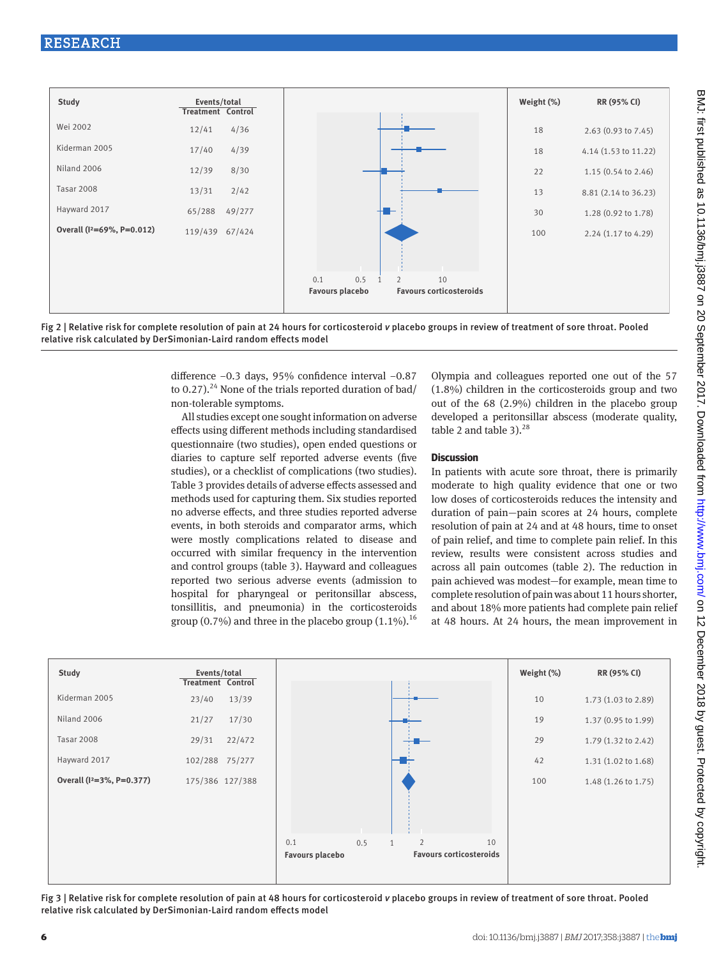



difference −0.3 days, 95% confidence interval −0.87 to 0.27).<sup>24</sup> None of the trials reported duration of bad/ non-tolerable symptoms.

All studies except one sought information on adverse effects using different methods including standardised questionnaire (two studies), open ended questions or diaries to capture self reported adverse events (five studies), or a checklist of complications (two studies). Table 3 provides details of adverse effects assessed and methods used for capturing them. Six studies reported no adverse effects, and three studies reported adverse events, in both steroids and comparator arms, which were mostly complications related to disease and occurred with similar frequency in the intervention and control groups (table 3). Hayward and colleagues reported two serious adverse events (admission to hospital for pharyngeal or peritonsillar abscess, tonsillitis, and pneumonia) in the corticosteroids group (0.7%) and three in the placebo group  $(1.1\%)$ .<sup>16</sup> Olympia and colleagues reported one out of the 57 (1.8%) children in the corticosteroids group and two out of the 68 (2.9%) children in the placebo group developed a peritonsillar abscess (moderate quality, table 2 and table  $3$ ).<sup>28</sup>

# **Discussion**

In patients with acute sore throat, there is primarily moderate to high quality evidence that one or two low doses of corticosteroids reduces the intensity and duration of pain—pain scores at 24 hours, complete resolution of pain at 24 and at 48 hours, time to onset of pain relief, and time to complete pain relief. In this review, results were consistent across studies and across all pain outcomes (table 2). The reduction in pain achieved was modest—for example, mean time to complete resolution of pain was about 11 hours shorter, and about 18% more patients had complete pain relief at 48 hours. At 24 hours, the mean improvement in



Fig 3 | Relative risk for complete resolution of pain at 48 hours for corticosteroid *v* placebo groups in review of treatment of sore throat. Pooled relative risk calculated by DerSimonian-Laird random effects model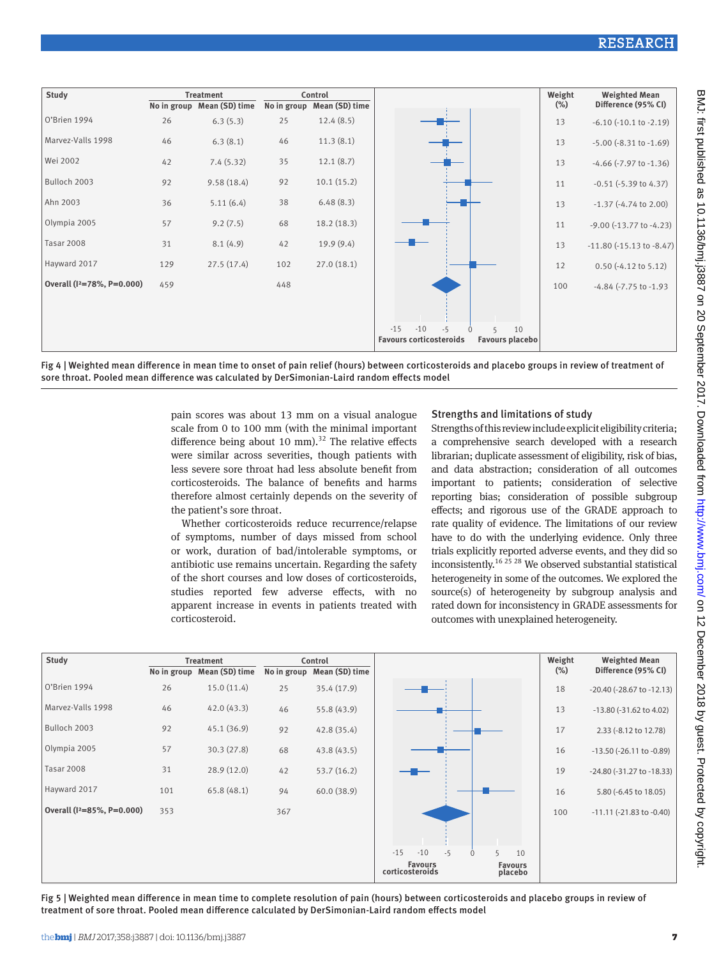

Fig 4 | Weighted mean difference in mean time to onset of pain relief (hours) between corticosteroids and placebo groups in review of treatment of sore throat. Pooled mean difference was calculated by DerSimonian-Laird random effects model

pain scores was about 13 mm on a visual analogue scale from 0 to 100 mm (with the minimal important difference being about 10 mm).<sup>32</sup> The relative effects were similar across severities, though patients with less severe sore throat had less absolute benefit from corticosteroids. The balance of benefits and harms therefore almost certainly depends on the severity of the patient's sore throat.

Whether corticosteroids reduce recurrence/relapse of symptoms, number of days missed from school or work, duration of bad/intolerable symptoms, or antibiotic use remains uncertain. Regarding the safety of the short courses and low doses of corticosteroids, studies reported few adverse effects, with no apparent increase in events in patients treated with corticosteroid.

# Strengths and limitations of study

Strengths of this review include explicit eligibility criteria; a comprehensive search developed with a research librarian; duplicate assessment of eligibility, risk of bias, and data abstraction; consideration of all outcomes important to patients; consideration of selective reporting bias; consideration of possible subgroup effects; and rigorous use of the GRADE approach to rate quality of evidence. The limitations of our review have to do with the underlying evidence. Only three trials explicitly reported adverse events, and they did so inconsistently.16 25 28 We observed substantial statistical heterogeneity in some of the outcomes. We explored the source(s) of heterogeneity by subgroup analysis and rated down for inconsistency in GRADE assessments for outcomes with unexplained heterogeneity.



Fig 5 | Weighted mean difference in mean time to complete resolution of pain (hours) between corticosteroids and placebo groups in review of treatment of sore throat. Pooled mean difference calculated by DerSimonian-Laird random effects model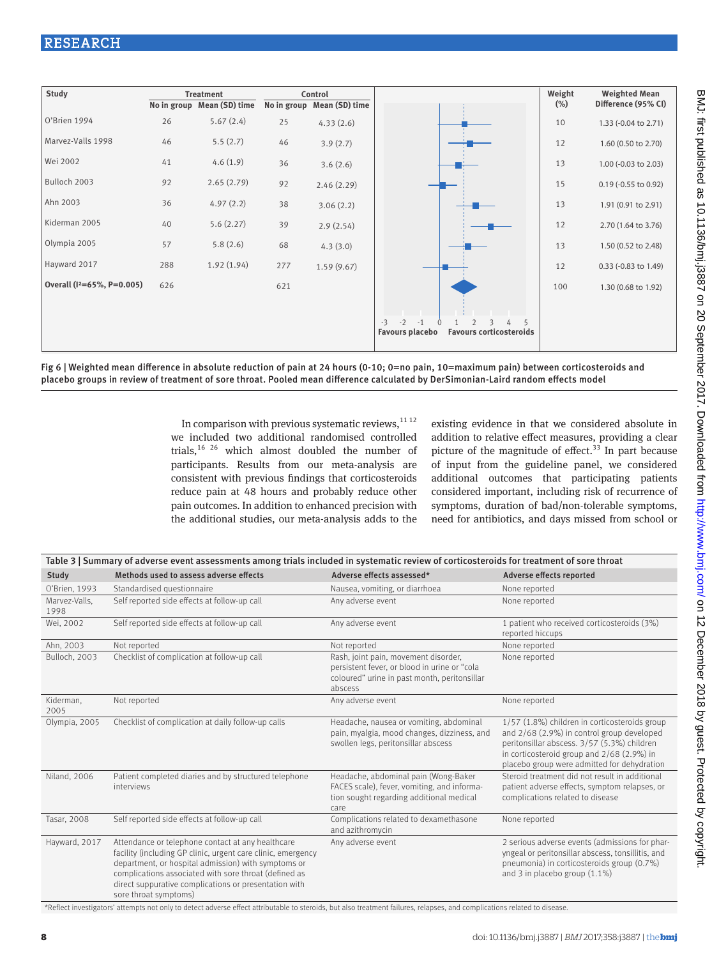

Fig 6 | Weighted mean difference in absolute reduction of pain at 24 hours (0-10; 0=no pain, 10=maximum pain) between corticosteroids and placebo groups in review of treatment of sore throat. Pooled mean difference calculated by DerSimonian-Laird random effects model

> In comparison with previous systematic reviews,  $1112$ we included two additional randomised controlled trials,<sup>16 26</sup> which almost doubled the number of participants. Results from our meta-analysis are consistent with previous findings that corticosteroids reduce pain at 48 hours and probably reduce other pain outcomes. In addition to enhanced precision with the additional studies, our meta-analysis adds to the

existing evidence in that we considered absolute in addition to relative effect measures, providing a clear picture of the magnitude of effect. $33$  In part because of input from the guideline panel, we considered additional outcomes that participating patients considered important, including risk of recurrence of symptoms, duration of bad/non-tolerable symptoms, need for antibiotics, and days missed from school or

|                       | Table 3   Summary of adverse event assessments among trials included in systematic review of corticosteroids for treatment of sore throat                                                                                                                                                                           |                                                                                                                                                 |                                                                                                                                                                                                                                         |  |  |  |
|-----------------------|---------------------------------------------------------------------------------------------------------------------------------------------------------------------------------------------------------------------------------------------------------------------------------------------------------------------|-------------------------------------------------------------------------------------------------------------------------------------------------|-----------------------------------------------------------------------------------------------------------------------------------------------------------------------------------------------------------------------------------------|--|--|--|
| Study                 | Methods used to assess adverse effects                                                                                                                                                                                                                                                                              | Adverse effects assessed*                                                                                                                       | Adverse effects reported                                                                                                                                                                                                                |  |  |  |
| O'Brien, 1993         | Standardised questionnaire                                                                                                                                                                                                                                                                                          | Nausea, vomiting, or diarrhoea                                                                                                                  | None reported                                                                                                                                                                                                                           |  |  |  |
| Marvez-Valls.<br>1998 | Self reported side effects at follow-up call                                                                                                                                                                                                                                                                        | Any adverse event                                                                                                                               | None reported                                                                                                                                                                                                                           |  |  |  |
| Wei, 2002             | Self reported side effects at follow-up call                                                                                                                                                                                                                                                                        | Any adverse event                                                                                                                               | 1 patient who received corticosteroids (3%)<br>reported hiccups                                                                                                                                                                         |  |  |  |
| Ahn, 2003             | Not reported                                                                                                                                                                                                                                                                                                        | Not reported                                                                                                                                    | None reported                                                                                                                                                                                                                           |  |  |  |
| Bulloch, 2003         | Checklist of complication at follow-up call                                                                                                                                                                                                                                                                         | Rash, joint pain, movement disorder,<br>persistent fever, or blood in urine or "cola<br>coloured" urine in past month, peritonsillar<br>abscess | None reported                                                                                                                                                                                                                           |  |  |  |
| Kiderman,<br>2005     | Not reported                                                                                                                                                                                                                                                                                                        | Any adverse event                                                                                                                               | None reported                                                                                                                                                                                                                           |  |  |  |
| Olympia, 2005         | Checklist of complication at daily follow-up calls                                                                                                                                                                                                                                                                  | Headache, nausea or vomiting, abdominal<br>pain, myalgia, mood changes, dizziness, and<br>swollen legs, peritonsillar abscess                   | 1/57 (1.8%) children in corticosteroids group<br>and 2/68 (2.9%) in control group developed<br>peritonsillar abscess. 3/57 (5.3%) children<br>in corticosteroid group and 2/68 (2.9%) in<br>placebo group were admitted for dehydration |  |  |  |
| Niland, 2006          | Patient completed diaries and by structured telephone<br>interviews                                                                                                                                                                                                                                                 | Headache, abdominal pain (Wong-Baker<br>FACES scale), fever, vomiting, and informa-<br>tion sought regarding additional medical<br>care         | Steroid treatment did not result in additional<br>patient adverse effects, symptom relapses, or<br>complications related to disease                                                                                                     |  |  |  |
| Tasar, 2008           | Self reported side effects at follow-up call                                                                                                                                                                                                                                                                        | Complications related to dexamethasone<br>and azithromycin                                                                                      | None reported                                                                                                                                                                                                                           |  |  |  |
| Hayward, 2017         | Attendance or telephone contact at any healthcare<br>facility (including GP clinic, urgent care clinic, emergency<br>department, or hospital admission) with symptoms or<br>complications associated with sore throat (defined as<br>direct suppurative complications or presentation with<br>sore throat symptoms) | Any adverse event                                                                                                                               | 2 serious adverse events (admissions for phar-<br>yngeal or peritonsillar abscess, tonsillitis, and<br>pneumonia) in corticosteroids group (0.7%)<br>and $3$ in placebo group $(1.1\%)$                                                 |  |  |  |

\*Reflect investigators' attempts not only to detect adverse effect attributable to steroids, but also treatment failures, relapses, and complications related to disease.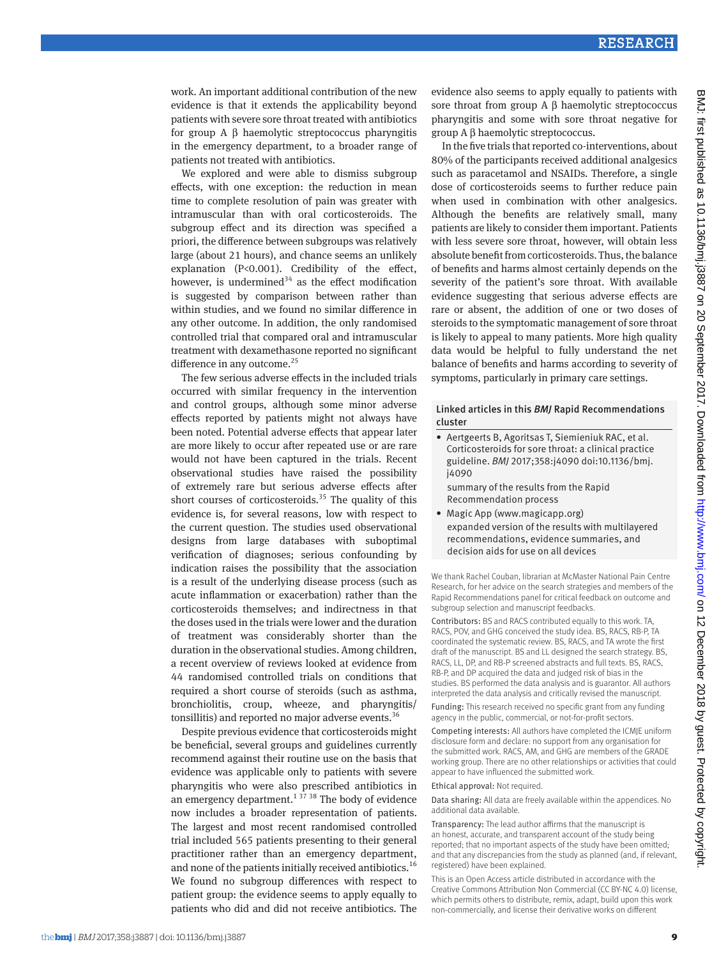work. An important additional contribution of the new evidence is that it extends the applicability beyond patients with severe sore throat treated with antibiotics for group A β haemolytic streptococcus pharyngitis in the emergency department, to a broader range of patients not treated with antibiotics.

We explored and were able to dismiss subgroup effects, with one exception: the reduction in mean time to complete resolution of pain was greater with intramuscular than with oral corticosteroids. The subgroup effect and its direction was specified a priori, the difference between subgroups was relatively large (about 21 hours), and chance seems an unlikely explanation (P<0.001). Credibility of the effect, however, is undermined<sup>34</sup> as the effect modification is suggested by comparison between rather than within studies, and we found no similar difference in any other outcome. In addition, the only randomised controlled trial that compared oral and intramuscular treatment with dexamethasone reported no significant difference in any outcome. $25$ 

The few serious adverse effects in the included trials occurred with similar frequency in the intervention and control groups, although some minor adverse effects reported by patients might not always have been noted. Potential adverse effects that appear later are more likely to occur after repeated use or are rare would not have been captured in the trials. Recent observational studies have raised the possibility of extremely rare but serious adverse effects after short courses of corticosteroids. $35$  The quality of this evidence is, for several reasons, low with respect to the current question. The studies used observational designs from large databases with suboptimal verification of diagnoses; serious confounding by indication raises the possibility that the association is a result of the underlying disease process (such as acute inflammation or exacerbation) rather than the corticosteroids themselves; and indirectness in that the doses used in the trials were lower and the duration of treatment was considerably shorter than the duration in the observational studies. Among children, a recent overview of reviews looked at evidence from 44 randomised controlled trials on conditions that required a short course of steroids (such as asthma, bronchiolitis, croup, wheeze, and pharyngitis/ tonsillitis) and reported no major adverse events.<sup>36</sup>

Despite previous evidence that corticosteroids might be beneficial, several groups and guidelines currently recommend against their routine use on the basis that evidence was applicable only to patients with severe pharyngitis who were also prescribed antibiotics in an emergency department.<sup>1 37 38</sup> The body of evidence now includes a broader representation of patients. The largest and most recent randomised controlled trial included 565 patients presenting to their general practitioner rather than an emergency department, and none of the patients initially received antibiotics.<sup>16</sup> We found no subgroup differences with respect to patient group: the evidence seems to apply equally to patients who did and did not receive antibiotics. The

evidence also seems to apply equally to patients with sore throat from group A β haemolytic streptococcus pharyngitis and some with sore throat negative for group A β haemolytic streptococcus.

In the five trials that reported co-interventions, about 80% of the participants received additional analgesics such as paracetamol and NSAIDs. Therefore, a single dose of corticosteroids seems to further reduce pain when used in combination with other analgesics. Although the benefits are relatively small, many patients are likely to consider them important. Patients with less severe sore throat, however, will obtain less absolute benefit from corticosteroids. Thus, the balance of benefits and harms almost certainly depends on the severity of the patient's sore throat. With available evidence suggesting that serious adverse effects are rare or absent, the addition of one or two doses of steroids to the symptomatic management of sore throat is likely to appeal to many patients. More high quality data would be helpful to fully understand the net balance of benefits and harms according to severity of symptoms, particularly in primary care settings.

Linked articles in this *BMJ* Rapid Recommendations cluster

• Aertgeerts B, Agoritsas T, Siemieniuk RAC, et al. Corticosteroids for sore throat: a clinical practice guideline. *BMJ* 2017;358:j4090 doi:10.1136/bmj. j4090

summary of the results from the Rapid Recommendation process

• Magic App (www.magicapp.org) expanded version of the results with multilayered recommendations, evidence summaries, and decision aids for use on all devices

We thank Rachel Couban, librarian at McMaster National Pain Centre Research, for her advice on the search strategies and members of the Rapid Recommendations panel for critical feedback on outcome and subgroup selection and manuscript feedbacks.

Contributors: BS and RACS contributed equally to this work. TA, RACS, POV, and GHG conceived the study idea. BS, RACS, RB-P, TA coordinated the systematic review. BS, RACS, and TA wrote the first draft of the manuscript. BS and LL designed the search strategy. BS, RACS, LL, DP, and RB-P screened abstracts and full texts. BS, RACS, RB-P, and DP acquired the data and judged risk of bias in the studies. BS performed the data analysis and is guarantor. All authors interpreted the data analysis and critically revised the manuscript.

Funding: This research received no specific grant from any funding agency in the public, commercial, or not-for-profit sectors.

Competing interests: All authors have completed the ICMJE uniform disclosure form and declare: no support from any organisation for the submitted work. RACS, AM, and GHG are members of the GRADE working group. There are no other relationships or activities that could appear to have influenced the submitted work.

Ethical approval: Not required.

Data sharing: All data are freely available within the appendices. No additional data available.

Transparency: The lead author affirms that the manuscript is an honest, accurate, and transparent account of the study being reported; that no important aspects of the study have been omitted; and that any discrepancies from the study as planned (and, if relevant, registered) have been explained.

This is an Open Access article distributed in accordance with the Creative Commons Attribution Non Commercial (CC BY-NC 4.0) license, which permits others to distribute, remix, adapt, build upon this work non-commercially, and license their derivative works on different